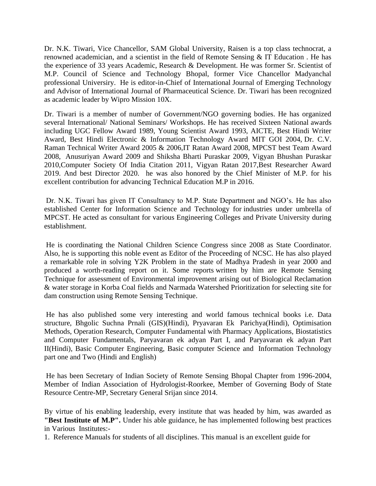Dr. N.K. Tiwari, Vice Chancellor, SAM Global University, Raisen is a top class technocrat, a renowned academician, and a scientist in the field of Remote Sensing & IT Education . He has the experience of 33 years Academic, Research & Development. He was former Sr. Scientist of M.P. Council of Science and Technology Bhopal, former Vice Chancellor Madyanchal professional Universiry. He is editor-in-Chief of International Journal of Emerging Technology and Advisor of International Journal of Pharmaceutical Science. Dr. Tiwari has been recognized as academic leader by Wipro Mission 10X.

Dr. Tiwari is a member of number of Government/NGO governing bodies. He has organized several International/ National Seminars/ Workshops. He has received Sixteen National awards including UGC Fellow Award 1989, Young Scientist Award 1993, AICTE, Best Hindi Writer Award, Best Hindi Electronic & Information Technology Award MIT GOI 2004, Dr. C.V. Raman Technical Writer Award 2005 & 2006,IT Ratan Award 2008, MPCST best Team Award 2008, Anusuriyan Award 2009 and Shiksha Bharti Puraskar 2009, Vigyan Bhushan Puraskar 2010,Computer Society Of India Citation 2011, Vigyan Ratan 2017,Best Researcher Award 2019. And best Director 2020. he was also honored by the Chief Minister of M.P. for his excellent contribution for advancing Technical Education M.P in 2016.

Dr. N.K. Tiwari has given IT Consultancy to M.P. State Department and NGO's. He has also established Center for Information Science and Technology for industries under umbrella of MPCST. He acted as consultant for various Engineering Colleges and Private University during establishment.

He is coordinating the National Children Science Congress since 2008 as State Coordinator. Also, he is supporting this noble event as Editor of the Proceeding of NCSC. He has also played a remarkable role in solving Y2K Problem in the state of Madhya Pradesh in year 2000 and produced a worth-reading report on it. Some reports written by him are Remote Sensing Technique for assessment of Environmental improvement arising out of Biological Reclamation & water storage in Korba Coal fields and Narmada Watershed Prioritization for selecting site for dam construction using Remote Sensing Technique.

He has also published some very interesting and world famous technical books i.e. Data structure, Bhgolic Suchna Prnali (GIS)(Hindi), Pryavaran Ek Parichya(Hindi), Optimisation Methods, Operation Research, Computer Fundamental with Pharmacy Applications, Biostatistics and Computer Fundamentals, Paryavaran ek adyan Part I, and Paryavaran ek adyan Part II(Hindi), Basic Computer Engineering, Basic computer Science and Information Technology part one and Two (Hindi and English)

He has been Secretary of Indian Society of Remote Sensing Bhopal Chapter from 1996-2004, Member of Indian Association of Hydrologist-Roorkee, Member of Governing Body of State Resource Centre-MP, Secretary General Srijan since 2014.

By virtue of his enabling leadership, every institute that was headed by him, was awarded as **"Best Institute of M.P".** Under his able guidance, he has implemented following best practices in Various Institutes:-

1. Reference Manuals for students of all disciplines. This manual is an excellent guide for